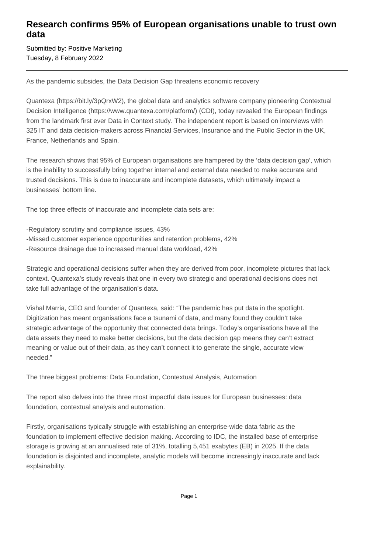## **Research confirms 95% of European organisations unable to trust own data**

Submitted by: Positive Marketing Tuesday, 8 February 2022

As the pandemic subsides, the Data Decision Gap threatens economic recovery

Quantexa (https://bit.ly/3pQrxW2), the global data and analytics software company pioneering Contextual Decision Intelligence (https://www.quantexa.com/platform/) (CDI), today revealed the European findings from the landmark first ever Data in Context study. The independent report is based on interviews with 325 IT and data decision-makers across Financial Services, Insurance and the Public Sector in the UK, France, Netherlands and Spain.

The research shows that 95% of European organisations are hampered by the 'data decision gap', which is the inability to successfully bring together internal and external data needed to make accurate and trusted decisions. This is due to inaccurate and incomplete datasets, which ultimately impact a businesses' bottom line.

The top three effects of inaccurate and incomplete data sets are:

-Regulatory scrutiny and compliance issues, 43% -Missed customer experience opportunities and retention problems, 42% -Resource drainage due to increased manual data workload, 42%

Strategic and operational decisions suffer when they are derived from poor, incomplete pictures that lack context. Quantexa's study reveals that one in every two strategic and operational decisions does not take full advantage of the organisation's data.

Vishal Marria, CEO and founder of Quantexa, said: "The pandemic has put data in the spotlight. Digitization has meant organisations face a tsunami of data, and many found they couldn't take strategic advantage of the opportunity that connected data brings. Today's organisations have all the data assets they need to make better decisions, but the data decision gap means they can't extract meaning or value out of their data, as they can't connect it to generate the single, accurate view needed."

The three biggest problems: Data Foundation, Contextual Analysis, Automation

The report also delves into the three most impactful data issues for European businesses: data foundation, contextual analysis and automation.

Firstly, organisations typically struggle with establishing an enterprise-wide data fabric as the foundation to implement effective decision making. According to IDC, the installed base of enterprise storage is growing at an annualised rate of 31%, totalling 5,451 exabytes (EB) in 2025. If the data foundation is disjointed and incomplete, analytic models will become increasingly inaccurate and lack explainability.